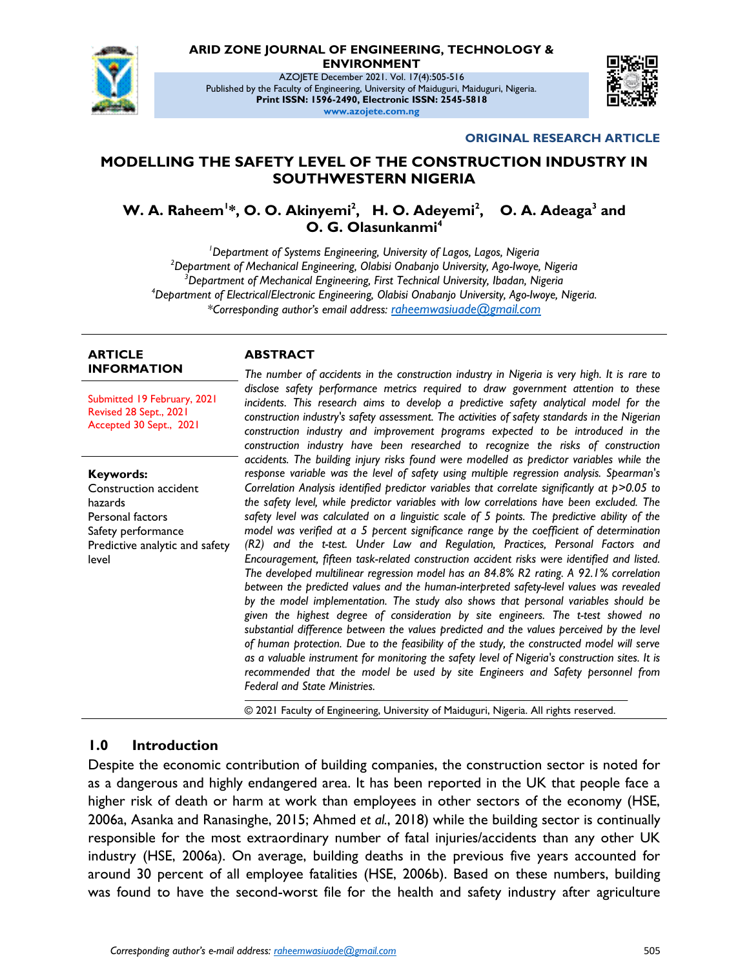

# **ARID ZONE JOURNAL OF ENGINEERING, TECHNOLOGY &**

**ENVIRONMENT**

AZOJETE December 2021. Vol. 17(4):505-516 Published by the Faculty of Engineering, University of Maiduguri, Maiduguri, Nigeria. **Print ISSN: 1596-2490, Electronic ISSN: 2545-5818 www.azojete.com.ng**



#### **ORIGINAL RESEARCH ARTICLE**

#### **MODELLING THE SAFETY LEVEL OF THE CONSTRUCTION INDUSTRY IN SOUTHWESTERN NIGERIA**

**W. A. Raheem<sup>1\*</sup>, O. O. Akinyemi<sup>2</sup>, H. O. Adeyemi<sup>2</sup>, O. A. Adeaga<sup>3</sup> and O. G. Olasunkanmi<sup>4</sup>**

*Department of Systems Engineering, University of Lagos, Lagos, Nigeria Department of Mechanical Engineering, Olabisi Onabanjo University, Ago-Iwoye, Nigeria Department of Mechanical Engineering, First Technical University, Ibadan, Nigeria Department of Electrical/Electronic Engineering, Olabisi Onabanjo University, Ago-Iwoye, Nigeria. \*Corresponding author's email address: <raheemwasiuade@gmail.com>*

#### **ARTICLE INFORMATION**

Submitted 19 February, 2021 Revised 28 Sept., 2021 Accepted 30 Sept., 2021

**Keywords:** Construction accident hazards Personal factors Safety performance Predictive analytic and safety level

#### **ABSTRACT**

*The number of accidents in the construction industry in Nigeria is very high. It is rare to disclose safety performance metrics required to draw government attention to these incidents. This research aims to develop a predictive safety analytical model for the construction industry's safety assessment. The activities of safety standards in the Nigerian construction industry and improvement programs expected to be introduced in the construction industry have been researched to recognize the risks of construction accidents. The building injury risks found were modelled as predictor variables while the response variable was the level of safety using multiple regression analysis. Spearman's Correlation Analysis identified predictor variables that correlate significantly at*  $p > 0.05$  *to the safety level, while predictor variables with low correlations have been excluded. The*  safety level was calculated on a linguistic scale of 5 points. The predictive ability of the *model was verified at a 5 percent significance range by the coefficient of determination (R2) and the t-test. Under Law and Regulation, Practices, Personal Factors and Encouragement, fifteen task-related construction accident risks were identified and listed. The developed multilinear regression model has an 84.8% R2 rating. A 92.1% correlation between the predicted values and the human-interpreted safety-level values was revealed by the model implementation. The study also shows that personal variables should be given the highest degree of consideration by site engineers. The t-test showed no substantial difference between the values predicted and the values perceived by the level of human protection. Due to the feasibility of the study, the constructed model will serve as a valuable instrument for monitoring the safety level of Nigeria's construction sites. It is recommended that the model be used by site Engineers and Safety personnel from Federal and State Ministries.*

© 2021 Faculty of Engineering, University of Maiduguri, Nigeria. All rights reserved.

#### **1.0 Introduction**

Despite the economic contribution of building companies, the construction sector is noted for as a dangerous and highly endangered area. It has been reported in the UK that people face a higher risk of death or harm at work than employees in other sectors of the economy (HSE, 2006a, Asanka and Ranasinghe, 2015; Ahmed *et al.*, 2018) while the building sector is continually responsible for the most extraordinary number of fatal injuries/accidents than any other UK industry (HSE, 2006a). On average, building deaths in the previous five years accounted for around 30 percent of all employee fatalities (HSE, 2006b). Based on these numbers, building was found to have the second-worst file for the health and safety industry after agriculture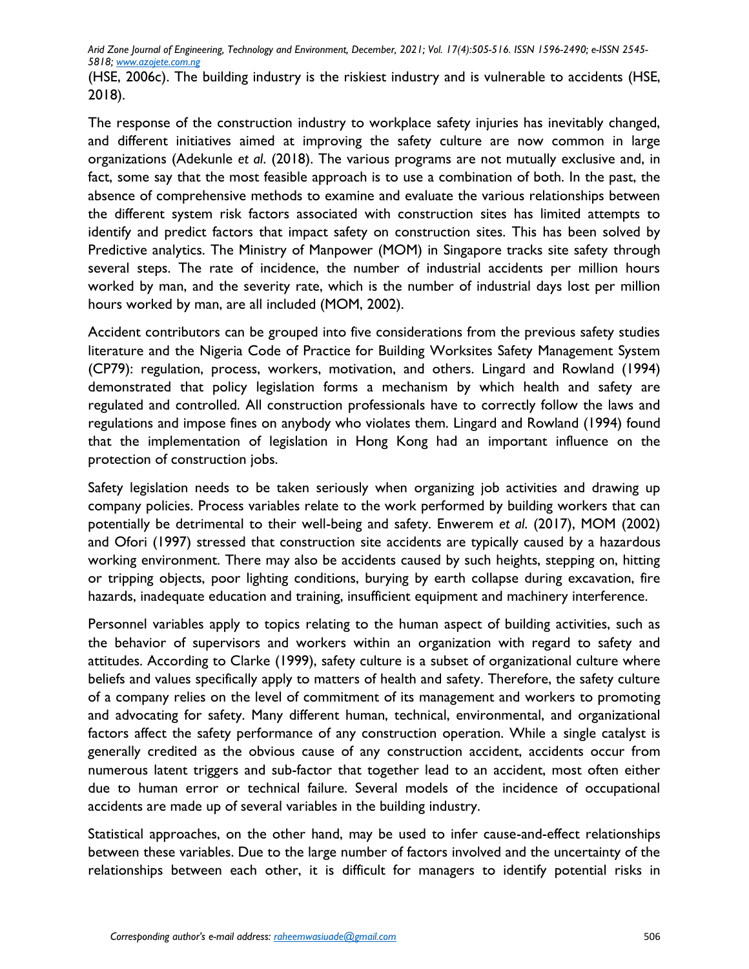(HSE, 2006c). The building industry is the riskiest industry and is vulnerable to accidents (HSE, 2018).

The response of the construction industry to workplace safety injuries has inevitably changed, and different initiatives aimed at improving the safety culture are now common in large organizations (Adekunle *et al*. (2018). The various programs are not mutually exclusive and, in fact, some say that the most feasible approach is to use a combination of both. In the past, the absence of comprehensive methods to examine and evaluate the various relationships between the different system risk factors associated with construction sites has limited attempts to identify and predict factors that impact safety on construction sites. This has been solved by Predictive analytics. The Ministry of Manpower (MOM) in Singapore tracks site safety through several steps. The rate of incidence, the number of industrial accidents per million hours worked by man, and the severity rate, which is the number of industrial days lost per million hours worked by man, are all included (MOM, 2002).

Accident contributors can be grouped into five considerations from the previous safety studies literature and the Nigeria Code of Practice for Building Worksites Safety Management System (CP79): regulation, process, workers, motivation, and others. Lingard and Rowland (1994) demonstrated that policy legislation forms a mechanism by which health and safety are regulated and controlled. All construction professionals have to correctly follow the laws and regulations and impose fines on anybody who violates them. Lingard and Rowland (1994) found that the implementation of legislation in Hong Kong had an important influence on the protection of construction jobs.

Safety legislation needs to be taken seriously when organizing job activities and drawing up company policies. Process variables relate to the work performed by building workers that can potentially be detrimental to their well-being and safety. Enwerem *et al*. (2017), MOM (2002) and Ofori (1997) stressed that construction site accidents are typically caused by a hazardous working environment. There may also be accidents caused by such heights, stepping on, hitting or tripping objects, poor lighting conditions, burying by earth collapse during excavation, fire hazards, inadequate education and training, insufficient equipment and machinery interference.

Personnel variables apply to topics relating to the human aspect of building activities, such as the behavior of supervisors and workers within an organization with regard to safety and attitudes. According to Clarke (1999), safety culture is a subset of organizational culture where beliefs and values specifically apply to matters of health and safety. Therefore, the safety culture of a company relies on the level of commitment of its management and workers to promoting and advocating for safety. Many different human, technical, environmental, and organizational factors affect the safety performance of any construction operation. While a single catalyst is generally credited as the obvious cause of any construction accident, accidents occur from numerous latent triggers and sub-factor that together lead to an accident, most often either due to human error or technical failure. Several models of the incidence of occupational accidents are made up of several variables in the building industry.

Statistical approaches, on the other hand, may be used to infer cause-and-effect relationships between these variables. Due to the large number of factors involved and the uncertainty of the relationships between each other, it is difficult for managers to identify potential risks in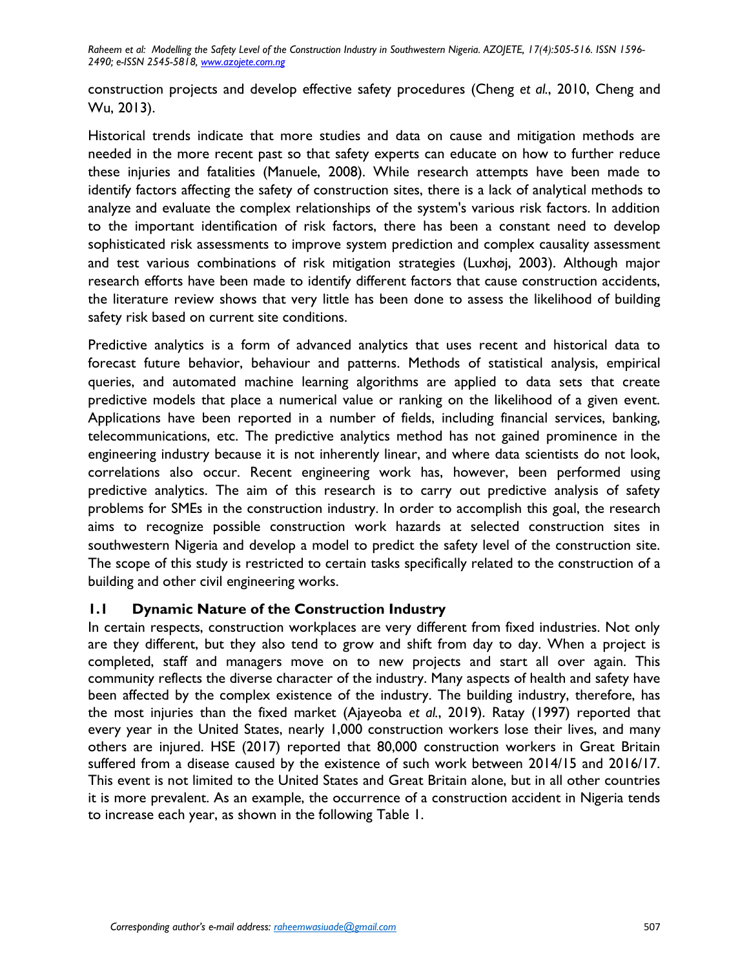construction projects and develop effective safety procedures (Cheng *et al.*, 2010, Cheng and Wu, 2013).

Historical trends indicate that more studies and data on cause and mitigation methods are needed in the more recent past so that safety experts can educate on how to further reduce these injuries and fatalities (Manuele, 2008). While research attempts have been made to identify factors affecting the safety of construction sites, there is a lack of analytical methods to analyze and evaluate the complex relationships of the system's various risk factors. In addition to the important identification of risk factors, there has been a constant need to develop sophisticated risk assessments to improve system prediction and complex causality assessment and test various combinations of risk mitigation strategies (Luxhøj, 2003). Although major research efforts have been made to identify different factors that cause construction accidents, the literature review shows that very little has been done to assess the likelihood of building safety risk based on current site conditions.

Predictive analytics is a form of advanced analytics that uses recent and historical data to forecast future behavior, behaviour and patterns. Methods of statistical analysis, empirical queries, and automated machine learning algorithms are applied to data sets that create predictive models that place a numerical value or ranking on the likelihood of a given event. Applications have been reported in a number of fields, including financial services, banking, telecommunications, etc. The predictive analytics method has not gained prominence in the engineering industry because it is not inherently linear, and where data scientists do not look, correlations also occur. Recent engineering work has, however, been performed using predictive analytics. The aim of this research is to carry out predictive analysis of safety problems for SMEs in the construction industry. In order to accomplish this goal, the research aims to recognize possible construction work hazards at selected construction sites in southwestern Nigeria and develop a model to predict the safety level of the construction site. The scope of this study is restricted to certain tasks specifically related to the construction of a building and other civil engineering works.

## **1.1 Dynamic Nature of the Construction Industry**

In certain respects, construction workplaces are very different from fixed industries. Not only are they different, but they also tend to grow and shift from day to day. When a project is completed, staff and managers move on to new projects and start all over again. This community reflects the diverse character of the industry. Many aspects of health and safety have been affected by the complex existence of the industry. The building industry, therefore, has the most injuries than the fixed market (Ajayeoba *et al.*, 2019). Ratay (1997) reported that every year in the United States, nearly 1,000 construction workers lose their lives, and many others are injured. HSE (2017) reported that 80,000 construction workers in Great Britain suffered from a disease caused by the existence of such work between 2014/15 and 2016/17. This event is not limited to the United States and Great Britain alone, but in all other countries it is more prevalent. As an example, the occurrence of a construction accident in Nigeria tends to increase each year, as shown in the following Table 1.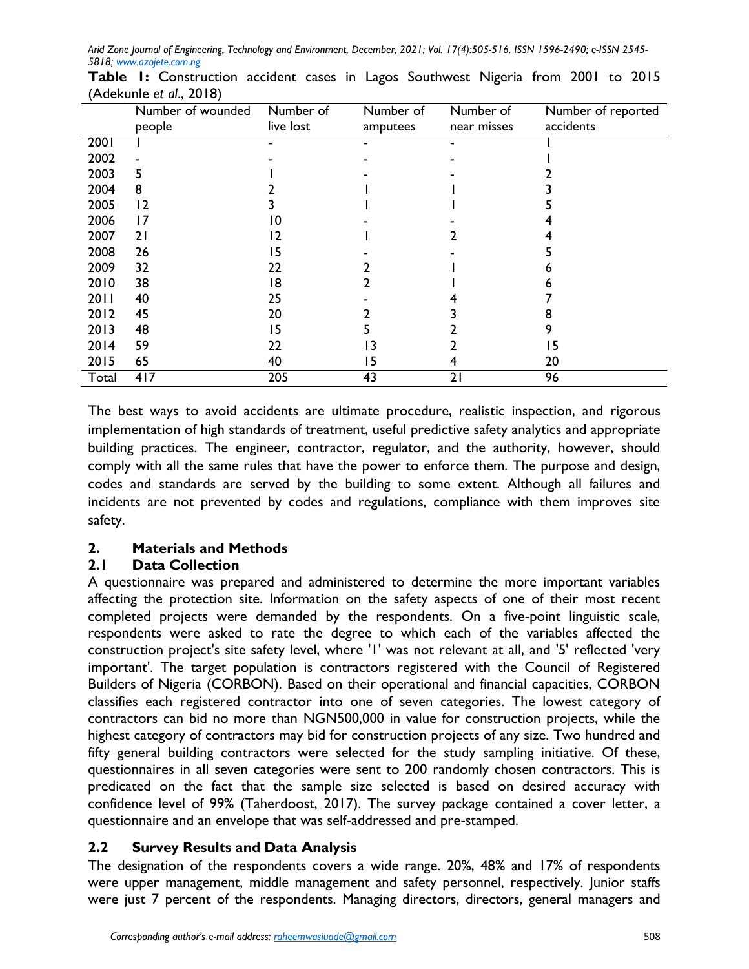|       | Number of wounded<br>people | Number of<br>live lost | Number of<br>amputees | Number of<br>near misses | Number of reported<br>accidents |
|-------|-----------------------------|------------------------|-----------------------|--------------------------|---------------------------------|
| 2001  |                             |                        |                       | -                        |                                 |
| 2002  |                             |                        |                       |                          |                                 |
| 2003  | 5                           |                        |                       |                          |                                 |
| 2004  | 8                           |                        |                       |                          |                                 |
| 2005  | 12                          |                        |                       |                          |                                 |
| 2006  | 17                          | 10                     |                       |                          |                                 |
| 2007  | 21                          | 12                     |                       |                          |                                 |
| 2008  | 26                          | 15                     |                       |                          |                                 |
| 2009  | 32                          | 22                     |                       |                          |                                 |
| 2010  | 38                          | 18                     |                       |                          |                                 |
| 2011  | 40                          | 25                     |                       |                          |                                 |
| 2012  | 45                          | 20                     |                       |                          |                                 |
| 2013  | 48                          | 15                     |                       |                          |                                 |
| 2014  | 59                          | 22                     | 3                     |                          | 15                              |
| 2015  | 65                          | 40                     | 15                    |                          | 20                              |
| Total | 417                         | 205                    | 43                    | 21                       | 96                              |

**Table 1:** Construction accident cases in Lagos Southwest Nigeria from 2001 to 2015 (Adekunle *et al*., 2018)

The best ways to avoid accidents are ultimate procedure, realistic inspection, and rigorous implementation of high standards of treatment, useful predictive safety analytics and appropriate building practices. The engineer, contractor, regulator, and the authority, however, should comply with all the same rules that have the power to enforce them. The purpose and design, codes and standards are served by the building to some extent. Although all failures and incidents are not prevented by codes and regulations, compliance with them improves site safety.

# **2. Materials and Methods**

# **2.1 Data Collection**

A questionnaire was prepared and administered to determine the more important variables affecting the protection site. Information on the safety aspects of one of their most recent completed projects were demanded by the respondents. On a five-point linguistic scale, respondents were asked to rate the degree to which each of the variables affected the construction project's site safety level, where '1' was not relevant at all, and '5' reflected 'very important'. The target population is contractors registered with the Council of Registered Builders of Nigeria (CORBON). Based on their operational and financial capacities, CORBON classifies each registered contractor into one of seven categories. The lowest category of contractors can bid no more than NGN500,000 in value for construction projects, while the highest category of contractors may bid for construction projects of any size. Two hundred and fifty general building contractors were selected for the study sampling initiative. Of these, questionnaires in all seven categories were sent to 200 randomly chosen contractors. This is predicated on the fact that the sample size selected is based on desired accuracy with confidence level of 99% (Taherdoost, 2017). The survey package contained a cover letter, a questionnaire and an envelope that was self-addressed and pre-stamped.

# **2.2 Survey Results and Data Analysis**

The designation of the respondents covers a wide range. 20%, 48% and 17% of respondents were upper management, middle management and safety personnel, respectively. Junior staffs were just 7 percent of the respondents. Managing directors, directors, general managers and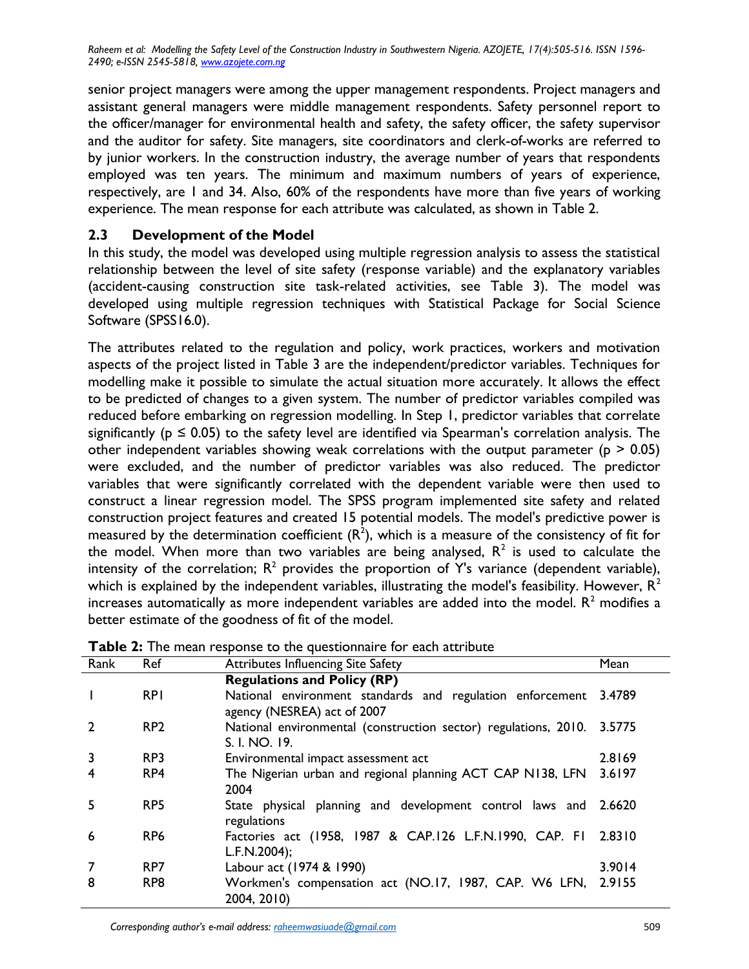senior project managers were among the upper management respondents. Project managers and assistant general managers were middle management respondents. Safety personnel report to the officer/manager for environmental health and safety, the safety officer, the safety supervisor and the auditor for safety. Site managers, site coordinators and clerk-of-works are referred to by junior workers. In the construction industry, the average number of years that respondents employed was ten years. The minimum and maximum numbers of years of experience, respectively, are 1 and 34. Also, 60% of the respondents have more than five years of working experience. The mean response for each attribute was calculated, as shown in Table 2.

#### **2.3 Development of the Model**

In this study, the model was developed using multiple regression analysis to assess the statistical relationship between the level of site safety (response variable) and the explanatory variables (accident-causing construction site task-related activities, see Table 3). The model was developed using multiple regression techniques with Statistical Package for Social Science Software (SPSS16.0).

The attributes related to the regulation and policy, work practices, workers and motivation aspects of the project listed in Table 3 are the independent/predictor variables. Techniques for modelling make it possible to simulate the actual situation more accurately. It allows the effect to be predicted of changes to a given system. The number of predictor variables compiled was reduced before embarking on regression modelling. In Step 1, predictor variables that correlate significantly ( $p \le 0.05$ ) to the safety level are identified via Spearman's correlation analysis. The other independent variables showing weak correlations with the output parameter ( $p > 0.05$ ) were excluded, and the number of predictor variables was also reduced. The predictor variables that were significantly correlated with the dependent variable were then used to construct a linear regression model. The SPSS program implemented site safety and related construction project features and created 15 potential models. The model's predictive power is measured by the determination coefficient  $(R^2)$ , which is a measure of the consistency of fit for the model. When more than two variables are being analysed,  $R^2$  is used to calculate the intensity of the correlation;  $R^2$  provides the proportion of Y's variance (dependent variable), which is explained by the independent variables, illustrating the model's feasibility. However,  $R^2$ increases automatically as more independent variables are added into the model.  $R<sup>2</sup>$  modifies a better estimate of the goodness of fit of the model.

| Rank | Ref             | Attributes Influencing Site Safety                                                       | Mean   |
|------|-----------------|------------------------------------------------------------------------------------------|--------|
|      |                 | <b>Regulations and Policy (RP)</b>                                                       |        |
|      | <b>RPI</b>      | National environment standards and regulation enforcement<br>agency (NESREA) act of 2007 | 3.4789 |
|      | RP <sub>2</sub> | National environmental (construction sector) regulations, 2010.<br>S. I. NO. 19.         | 3.5775 |
|      | RP3             | Environmental impact assessment act                                                      | 2.8169 |
| 4    | RP4             | The Nigerian urban and regional planning ACT CAP N138, LFN<br>2004                       | 3.6197 |
| 5    | RP5             | State physical planning and development control laws and 2.6620<br>regulations           |        |
| 6    | RP <sub>6</sub> | Factories act (1958, 1987 & CAP.126 L.F.N.1990, CAP. FI<br>L.F.N.2004);                  | 2.8310 |
|      | RP7             | Labour act (1974 & 1990)                                                                 | 3.9014 |
| 8    | RP8             | Workmen's compensation act (NO.17, 1987, CAP. W6 LFN, 2.9155<br>2004, 2010)              |        |

**Table 2:** The mean response to the questionnaire for each attribute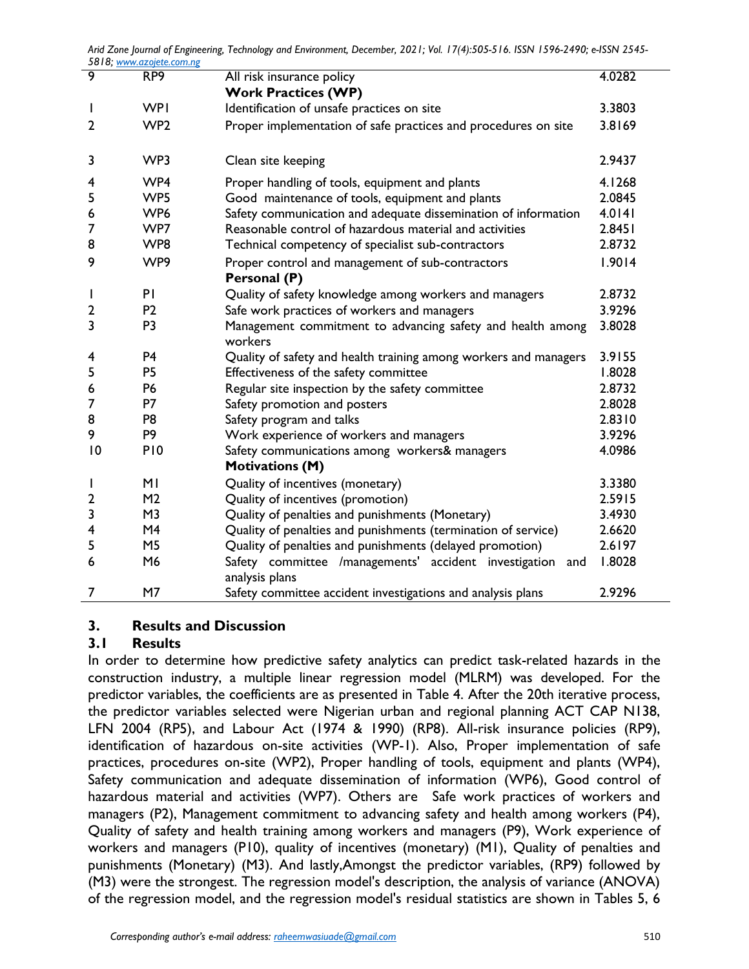| 9  | RP <sub>9</sub> | All risk insurance policy                                                      | 4.0282 |
|----|-----------------|--------------------------------------------------------------------------------|--------|
|    |                 | <b>Work Practices (WP)</b>                                                     |        |
|    | <b>WPI</b>      | Identification of unsafe practices on site                                     | 3.3803 |
| 2  | WP <sub>2</sub> | Proper implementation of safe practices and procedures on site                 | 3.8169 |
|    |                 |                                                                                |        |
| 3  | WP3             | Clean site keeping                                                             | 2.9437 |
| 4  | WP4             | Proper handling of tools, equipment and plants                                 | 4.1268 |
| 5  | WP5             | Good maintenance of tools, equipment and plants                                | 2.0845 |
| 6  | WP <sub>6</sub> | Safety communication and adequate dissemination of information                 | 4.0141 |
| 7  | WP7             | Reasonable control of hazardous material and activities                        | 2.8451 |
| 8  | WP8             | Technical competency of specialist sub-contractors                             | 2.8732 |
| 9  | WP9             | Proper control and management of sub-contractors                               | 1.9014 |
|    |                 | Personal (P)                                                                   |        |
| I  | PI              | Quality of safety knowledge among workers and managers                         | 2.8732 |
| 2  | P <sub>2</sub>  | Safe work practices of workers and managers                                    | 3.9296 |
| 3  | P <sub>3</sub>  | Management commitment to advancing safety and health among<br>workers          | 3.8028 |
| 4  | P <sub>4</sub>  | Quality of safety and health training among workers and managers               | 3.9155 |
| 5  | P <sub>5</sub>  | Effectiveness of the safety committee                                          | 1.8028 |
| 6  | <b>P6</b>       | Regular site inspection by the safety committee                                | 2.8732 |
| 7  | P7              | Safety promotion and posters                                                   | 2.8028 |
| 8  | P <sub>8</sub>  | Safety program and talks                                                       | 2.8310 |
| 9  | P <sub>9</sub>  | Work experience of workers and managers                                        | 3.9296 |
| 10 | P <sub>10</sub> | Safety communications among workers& managers                                  | 4.0986 |
|    |                 | <b>Motivations (M)</b>                                                         |        |
|    | MI              | Quality of incentives (monetary)                                               | 3.3380 |
| 2  | M <sub>2</sub>  | Quality of incentives (promotion)                                              | 2.5915 |
| 3  | M <sub>3</sub>  | Quality of penalties and punishments (Monetary)                                | 3.4930 |
| 4  | M4              | Quality of penalties and punishments (termination of service)                  | 2.6620 |
| 5  | M <sub>5</sub>  | Quality of penalties and punishments (delayed promotion)                       | 2.6197 |
| 6  | M6              | Safety committee /managements' accident investigation<br>and<br>analysis plans | 1.8028 |
| 7  | M7              | Safety committee accident investigations and analysis plans                    | 2.9296 |

## **3. Results and Discussion**

## **3.1 Results**

In order to determine how predictive safety analytics can predict task-related hazards in the construction industry, a multiple linear regression model (MLRM) was developed. For the predictor variables, the coefficients are as presented in Table 4. After the 20th iterative process, the predictor variables selected were Nigerian urban and regional planning ACT CAP N138, LFN 2004 (RP5), and Labour Act (1974 & 1990) (RP8). All-risk insurance policies (RP9), identification of hazardous on-site activities (WP-1). Also, Proper implementation of safe practices, procedures on-site (WP2), Proper handling of tools, equipment and plants (WP4), Safety communication and adequate dissemination of information (WP6), Good control of hazardous material and activities (WP7). Others are Safe work practices of workers and managers (P2), Management commitment to advancing safety and health among workers (P4), Quality of safety and health training among workers and managers (P9), Work experience of workers and managers (P10), quality of incentives (monetary) (M1), Quality of penalties and punishments (Monetary) (M3). And lastly,Amongst the predictor variables, (RP9) followed by (M3) were the strongest. The regression model's description, the analysis of variance (ANOVA) of the regression model, and the regression model's residual statistics are shown in Tables 5, 6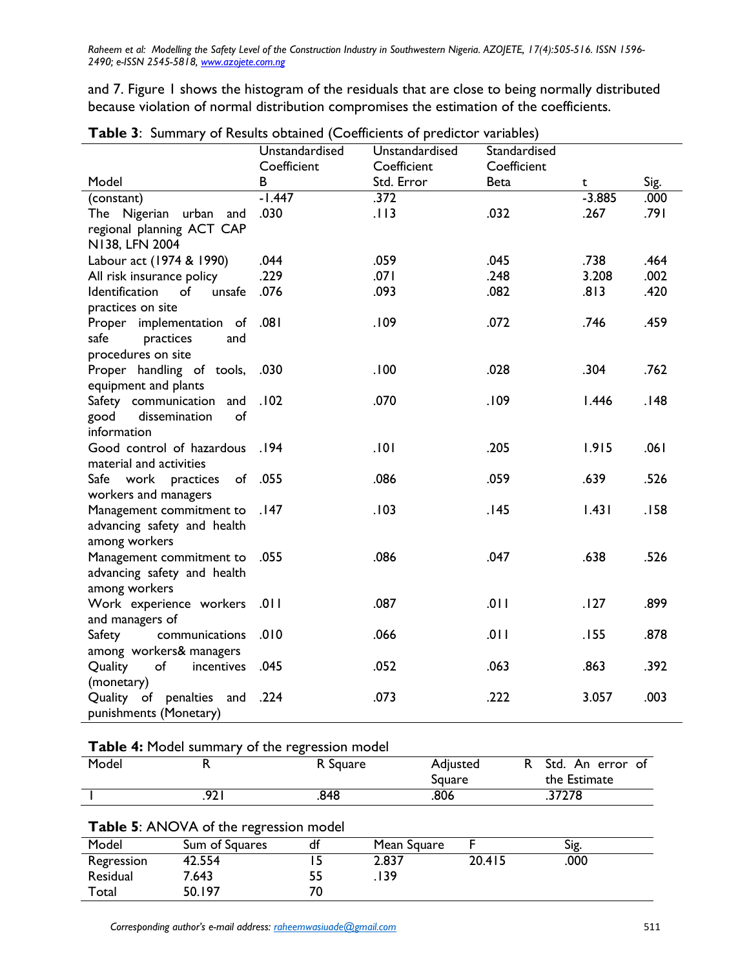and 7. Figure 1 shows the histogram of the residuals that are close to being normally distributed because violation of normal distribution compromises the estimation of the coefficients.

|                                              | Unstandardised<br>Coefficient | Unstandardised<br>Coefficient | Standardised<br>Coefficient |             |      |
|----------------------------------------------|-------------------------------|-------------------------------|-----------------------------|-------------|------|
| Model                                        | B                             | Std. Error                    | <b>Beta</b>                 | $\mathbf t$ | Sig. |
| (constant)                                   | $-1.447$                      | .372                          |                             | $-3.885$    | .000 |
| The Nigerian urban and                       | .030                          | .113                          | .032                        | .267        | .791 |
| regional planning ACT CAP                    |                               |                               |                             |             |      |
| N138, LFN 2004                               |                               |                               |                             |             |      |
| Labour act (1974 & 1990)                     | .044                          | .059                          | .045                        | .738        | .464 |
| All risk insurance policy                    | .229                          | .071                          | .248                        | 3.208       | .002 |
| Identification<br>of<br>unsafe               | .076                          | .093                          | .082                        | .813        | .420 |
| practices on site                            |                               |                               |                             |             |      |
| Proper implementation of                     | .081                          | .109                          | .072                        | .746        | .459 |
| practices<br>safe<br>and                     |                               |                               |                             |             |      |
| procedures on site                           |                               |                               |                             |             |      |
| Proper handling of tools,                    | .030                          | .100                          | .028                        | .304        | .762 |
| equipment and plants                         |                               |                               |                             |             |      |
| Safety communication and                     | .102                          | .070                          | .109                        | 1.446       | .148 |
| dissemination<br>good<br>of                  |                               |                               |                             |             |      |
| information                                  |                               |                               |                             |             |      |
| Good control of hazardous .194               |                               | .101                          | .205                        | 1.915       | .061 |
| material and activities                      |                               |                               |                             |             |      |
| Safe work practices of .055                  |                               | .086                          | .059                        | .639        | .526 |
| workers and managers                         |                               |                               |                             |             |      |
| Management commitment to                     | .147                          | .103                          | .145                        | 1.431       | .158 |
| advancing safety and health                  |                               |                               |                             |             |      |
| among workers                                |                               | .086                          |                             |             |      |
| Management commitment to                     | .055                          |                               | .047                        | .638        | .526 |
| advancing safety and health<br>among workers |                               |                               |                             |             |      |
| Work experience workers                      | .011                          | .087                          | .011                        | .127        | .899 |
| and managers of                              |                               |                               |                             |             |      |
| Safety<br>communications                     | .010                          | .066                          | .011                        | .155        | .878 |
| among workers& managers                      |                               |                               |                             |             |      |
| Quality<br>of<br>incentives                  | .045                          | .052                          | .063                        | .863        | .392 |
| (monetary)                                   |                               |                               |                             |             |      |
| Quality of penalties and                     | .224                          | .073                          | .222                        | 3.057       | .003 |
| punishments (Monetary)                       |                               |                               |                             |             |      |

|  | Table 3: Summary of Results obtained (Coefficients of predictor variables) |
|--|----------------------------------------------------------------------------|
|--|----------------------------------------------------------------------------|

**Table 4:** Model summary of the regression model

| Model                                         |      | R Square | Adjusted<br>Square | R Std. An error of<br>the Estimate |  |  |
|-----------------------------------------------|------|----------|--------------------|------------------------------------|--|--|
|                                               | 92 I | .848     | .806               | .37278                             |  |  |
| <b>Table 5:</b> ANOVA of the regression model |      |          |                    |                                    |  |  |

| <b>TWO CO.</b> THE RESIDENCE CONTINUOUS |                |    |             |        |      |  |
|-----------------------------------------|----------------|----|-------------|--------|------|--|
| Model                                   | Sum of Squares | dt | Mean Square |        | Sig. |  |
| Regression                              | 42.554         |    | 2.837       | 20.415 | .000 |  |
| Residual                                | 7.643          | 55 | 139         |        |      |  |
| Total                                   | 50.197         | 70 |             |        |      |  |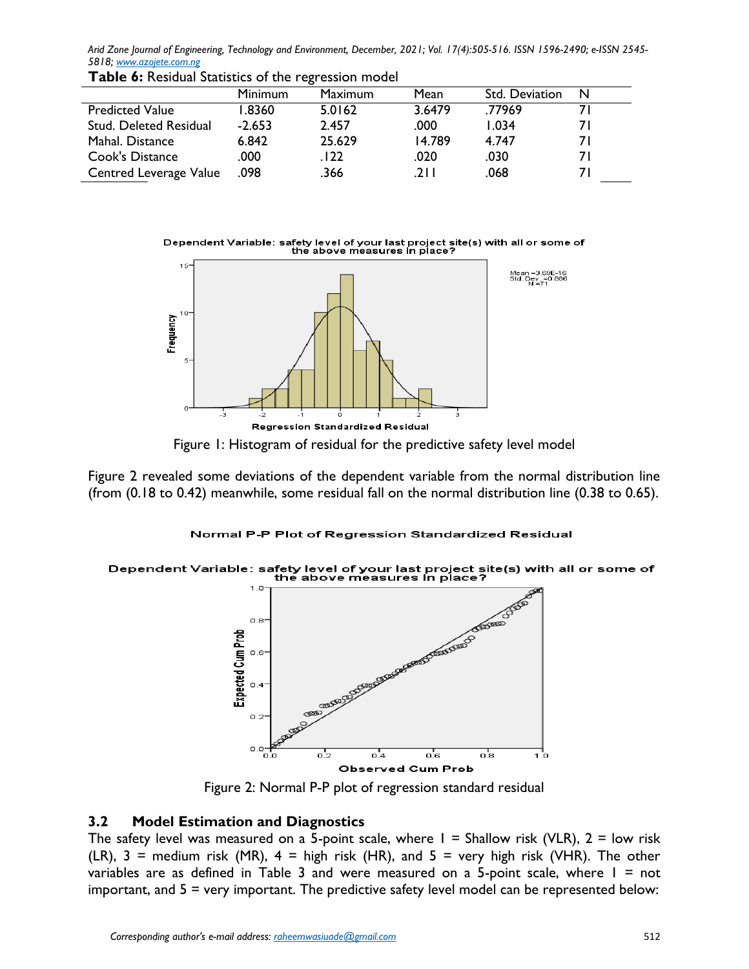|                               | <b>Minimum</b> | Maximum | Mean   | Std. Deviation | N   |
|-------------------------------|----------------|---------|--------|----------------|-----|
| <b>Predicted Value</b>        | 1.8360         | 5.0162  | 3.6479 | .77969         |     |
| <b>Stud. Deleted Residual</b> | $-2.653$       | 2.457   | .000   | 1.034          | 7 I |
| Mahal. Distance               | 6.842          | 25.629  | 14.789 | 4.747          | 7 I |
| Cook's Distance               | .000           | .122    | .020   | .030           | 7 I |
| Centred Leverage Value        | .098           | .366    | .211   | .068           |     |

**Table 6:** Residual Statistics of the regression model

Dependent Variable: safety level of your last project site(s) with all or some of<br>the above measures in place?



Figure 1: Histogram of residual for the predictive safety level model

Figure 2 revealed some deviations of the dependent variable from the normal distribution line (from (0.18 to 0.42) meanwhile, some residual fall on the normal distribution line (0.38 to 0.65).

#### Normal P-P Plot of Regression Standardized Residual

# Dependent Variable: safety level of your last project site(s) with all or some of<br>the above measures in place?



Figure 2: Normal P-P plot of regression standard residual

## **3.2 Model Estimation and Diagnostics**

The safety level was measured on a 5-point scale, where  $I = Shallow$  risk (VLR),  $2 = low$  risk (LR),  $3$  = medium risk (MR),  $4$  = high risk (HR), and  $5$  = very high risk (VHR). The other variables are as defined in Table 3 and were measured on a 5-point scale, where  $1 = not$ important, and  $5 =$  very important. The predictive safety level model can be represented below: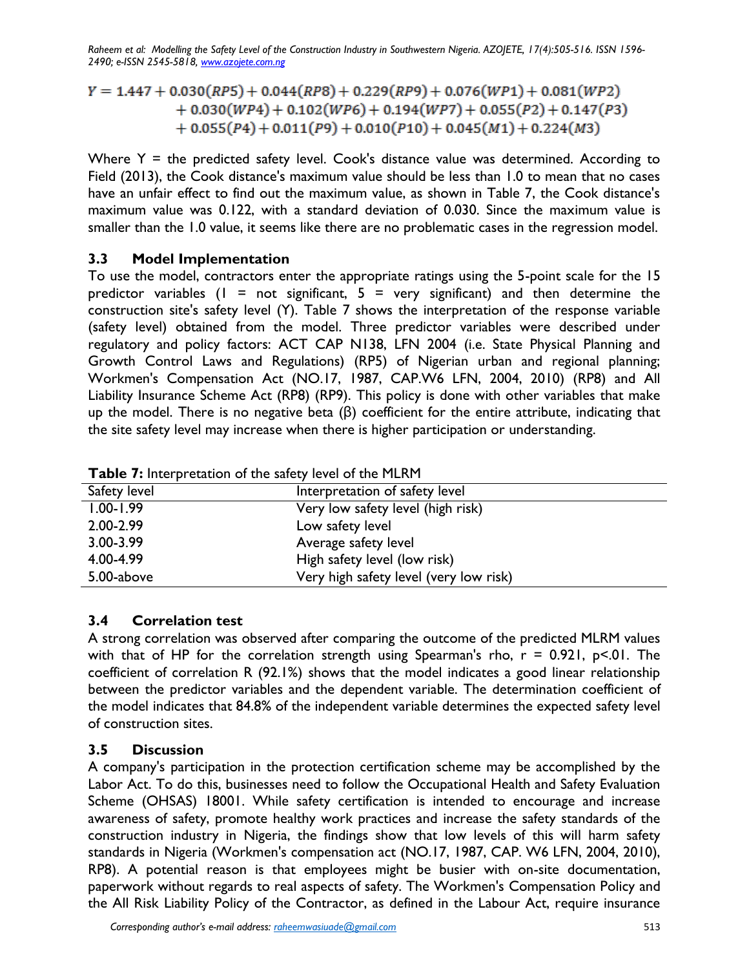$Y = 1.447 + 0.030(RP5) + 0.044(RP8) + 0.229(RP9) + 0.076(WP1) + 0.081(WP2)$  $+ 0.030(WP4) + 0.102(WP6) + 0.194(WP7) + 0.055(P2) + 0.147(P3)$  $+ 0.055(P4) + 0.011(P9) + 0.010(P10) + 0.045(M1) + 0.224(M3)$ 

Where  $Y =$  the predicted safety level. Cook's distance value was determined. According to Field (2013), the Cook distance's maximum value should be less than 1.0 to mean that no cases have an unfair effect to find out the maximum value, as shown in Table 7, the Cook distance's maximum value was 0.122, with a standard deviation of 0.030. Since the maximum value is smaller than the 1.0 value, it seems like there are no problematic cases in the regression model.

#### **3.3 Model Implementation**

To use the model, contractors enter the appropriate ratings using the 5-point scale for the 15 predictor variables ( $l = not$  significant,  $5 =$  very significant) and then determine the construction site's safety level (Y). Table 7 shows the interpretation of the response variable (safety level) obtained from the model. Three predictor variables were described under regulatory and policy factors: ACT CAP N138, LFN 2004 (i.e. State Physical Planning and Growth Control Laws and Regulations) (RP5) of Nigerian urban and regional planning; Workmen's Compensation Act (NO.17, 1987, CAP.W6 LFN, 2004, 2010) (RP8) and All Liability Insurance Scheme Act (RP8) (RP9). This policy is done with other variables that make up the model. There is no negative beta (β) coefficient for the entire attribute, indicating that the site safety level may increase when there is higher participation or understanding.

| Safety level  | Interpretation of safety level         |
|---------------|----------------------------------------|
| $1.00 - 1.99$ | Very low safety level (high risk)      |
| 2.00-2.99     | Low safety level                       |
| 3.00-3.99     | Average safety level                   |
| 4.00-4.99     | High safety level (low risk)           |
| 5.00-above    | Very high safety level (very low risk) |

**Table 7:** Interpretation of the safety level of the MLRM

## **3.4 Correlation test**

A strong correlation was observed after comparing the outcome of the predicted MLRM values with that of HP for the correlation strength using Spearman's rho,  $r = 0.921$ ,  $p < 01$ . The coefficient of correlation R (92.1%) shows that the model indicates a good linear relationship between the predictor variables and the dependent variable. The determination coefficient of the model indicates that 84.8% of the independent variable determines the expected safety level of construction sites.

## **3.5 Discussion**

A company's participation in the protection certification scheme may be accomplished by the Labor Act. To do this, businesses need to follow the Occupational Health and Safety Evaluation Scheme (OHSAS) 18001. While safety certification is intended to encourage and increase awareness of safety, promote healthy work practices and increase the safety standards of the construction industry in Nigeria, the findings show that low levels of this will harm safety standards in Nigeria (Workmen's compensation act (NO.17, 1987, CAP. W6 LFN, 2004, 2010), RP8). A potential reason is that employees might be busier with on-site documentation, paperwork without regards to real aspects of safety. The Workmen's Compensation Policy and the All Risk Liability Policy of the Contractor, as defined in the Labour Act, require insurance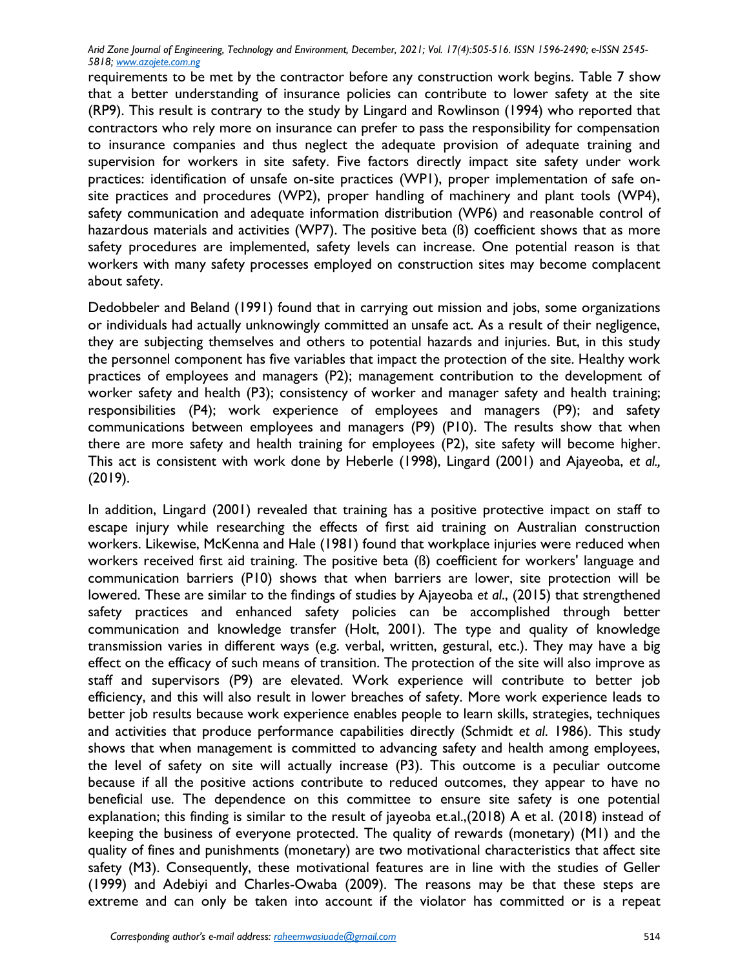requirements to be met by the contractor before any construction work begins. Table 7 show that a better understanding of insurance policies can contribute to lower safety at the site (RP9). This result is contrary to the study by Lingard and Rowlinson (1994) who reported that contractors who rely more on insurance can prefer to pass the responsibility for compensation to insurance companies and thus neglect the adequate provision of adequate training and supervision for workers in site safety. Five factors directly impact site safety under work practices: identification of unsafe on-site practices (WP1), proper implementation of safe onsite practices and procedures (WP2), proper handling of machinery and plant tools (WP4), safety communication and adequate information distribution (WP6) and reasonable control of hazardous materials and activities (WP7). The positive beta (ß) coefficient shows that as more safety procedures are implemented, safety levels can increase. One potential reason is that workers with many safety processes employed on construction sites may become complacent about safety.

Dedobbeler and Beland (1991) found that in carrying out mission and jobs, some organizations or individuals had actually unknowingly committed an unsafe act. As a result of their negligence, they are subjecting themselves and others to potential hazards and injuries. But, in this study the personnel component has five variables that impact the protection of the site. Healthy work practices of employees and managers (P2); management contribution to the development of worker safety and health (P3); consistency of worker and manager safety and health training; responsibilities (P4); work experience of employees and managers (P9); and safety communications between employees and managers (P9) (P10). The results show that when there are more safety and health training for employees (P2), site safety will become higher. This act is consistent with work done by Heberle (1998), Lingard (2001) and Ajayeoba, *et al.,* (2019).

In addition, Lingard (2001) revealed that training has a positive protective impact on staff to escape injury while researching the effects of first aid training on Australian construction workers. Likewise, McKenna and Hale (1981) found that workplace injuries were reduced when workers received first aid training. The positive beta (ß) coefficient for workers' language and communication barriers (P10) shows that when barriers are lower, site protection will be lowered. These are similar to the findings of studies by Ajayeoba *et al*., (2015) that strengthened safety practices and enhanced safety policies can be accomplished through better communication and knowledge transfer (Holt, 2001). The type and quality of knowledge transmission varies in different ways (e.g. verbal, written, gestural, etc.). They may have a big effect on the efficacy of such means of transition. The protection of the site will also improve as staff and supervisors (P9) are elevated. Work experience will contribute to better job efficiency, and this will also result in lower breaches of safety. More work experience leads to better job results because work experience enables people to learn skills, strategies, techniques and activities that produce performance capabilities directly (Schmidt *et al*. 1986). This study shows that when management is committed to advancing safety and health among employees, the level of safety on site will actually increase (P3). This outcome is a peculiar outcome because if all the positive actions contribute to reduced outcomes, they appear to have no beneficial use. The dependence on this committee to ensure site safety is one potential explanation; this finding is similar to the result of jayeoba et.al.,(2018) A et al. (2018) instead of keeping the business of everyone protected. The quality of rewards (monetary) (M1) and the quality of fines and punishments (monetary) are two motivational characteristics that affect site safety (M3). Consequently, these motivational features are in line with the studies of Geller (1999) and Adebiyi and Charles-Owaba (2009). The reasons may be that these steps are extreme and can only be taken into account if the violator has committed or is a repeat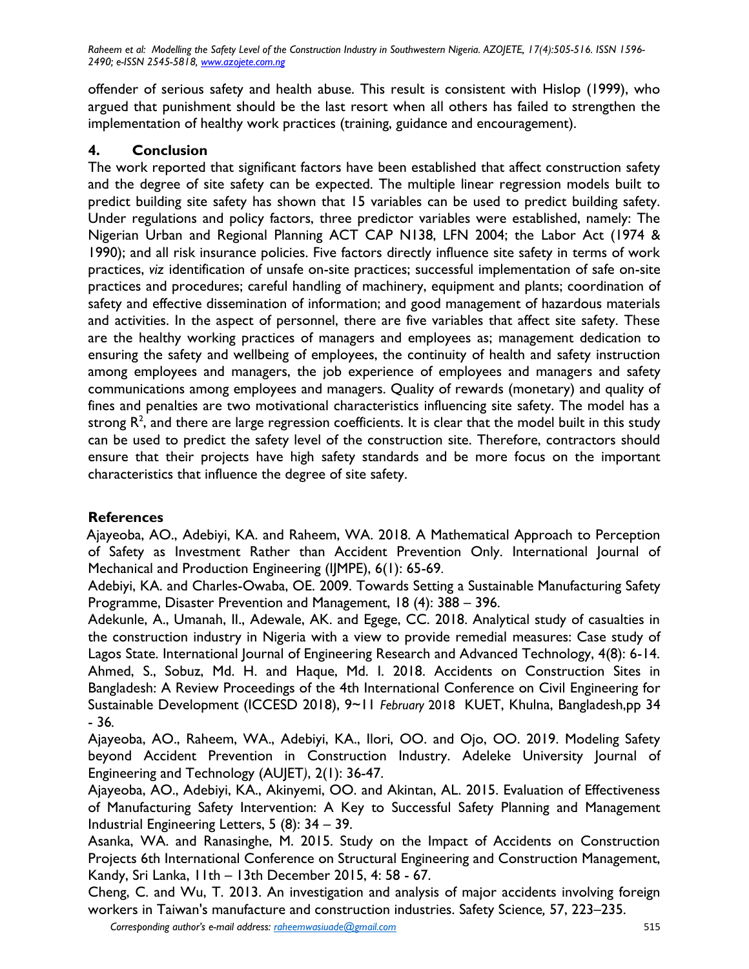offender of serious safety and health abuse. This result is consistent with Hislop (1999), who argued that punishment should be the last resort when all others has failed to strengthen the implementation of healthy work practices (training, guidance and encouragement).

## **4. Conclusion**

The work reported that significant factors have been established that affect construction safety and the degree of site safety can be expected. The multiple linear regression models built to predict building site safety has shown that 15 variables can be used to predict building safety. Under regulations and policy factors, three predictor variables were established, namely: The Nigerian Urban and Regional Planning ACT CAP N138, LFN 2004; the Labor Act (1974 & 1990); and all risk insurance policies. Five factors directly influence site safety in terms of work practices, *viz* identification of unsafe on-site practices; successful implementation of safe on-site practices and procedures; careful handling of machinery, equipment and plants; coordination of safety and effective dissemination of information; and good management of hazardous materials and activities. In the aspect of personnel, there are five variables that affect site safety. These are the healthy working practices of managers and employees as; management dedication to ensuring the safety and wellbeing of employees, the continuity of health and safety instruction among employees and managers, the job experience of employees and managers and safety communications among employees and managers. Quality of rewards (monetary) and quality of fines and penalties are two motivational characteristics influencing site safety. The model has a strong  $\mathsf{R}^2$ , and there are large regression coefficients. It is clear that the model built in this study can be used to predict the safety level of the construction site. Therefore, contractors should ensure that their projects have high safety standards and be more focus on the important characteristics that influence the degree of site safety.

## **References**

[Ajayeoba,](http://iraj.in/journal/IJMPE/author.php?author=A.%20O.%20Ajayeoba) AO., [Adebiyi,](http://iraj.in/journal/IJMPE/author.php?author=K.%20A.%20Adebiyi) KA. and Raheem, WA. 2018. A Mathematical Approach to Perception of Safety as Investment Rather than Accident Prevention Only. International Journal of Mechanical and Production Engineering (IJMPE), 6(1): 65-69.

Adebiyi, KA. and Charles-Owaba, OE. 2009. Towards Setting a Sustainable Manufacturing Safety Programme, Disaster Prevention and Management, 18 (4): 388 – 396.

Adekunle, A., Umanah, II., Adewale, AK. and Egege, CC. 2018. Analytical study of casualties in the construction industry in Nigeria with a view to provide remedial measures: Case study of Lagos State. International Journal of Engineering Research and Advanced Technology, 4(8): 6-14. Ahmed, S., Sobuz, Md. H. and Haque, Md. I. 2018. Accidents on Construction Sites in Bangladesh: A Review Proceedings of the 4th International Conference on Civil Engineering for Sustainable Development (ICCESD 2018), 9~11 *February* 2018 KUET, Khulna, Bangladesh,pp 34 - 36*.*

Ajayeoba, AO., Raheem, WA., Adebiyi, KA., Ilori, OO. and Ojo, OO. 2019. Modeling Safety beyond Accident Prevention in Construction Industry. Adeleke University Journal of Engineering and Technology (AUJET*)*, 2(1): 36-47.

Ajayeoba, AO., Adebiyi, KA., Akinyemi, OO. and Akintan, AL. 2015. Evaluation of Effectiveness of Manufacturing Safety Intervention: A Key to Successful Safety Planning and Management Industrial Engineering Letters, 5 (8): 34 – 39.

Asanka, WA. and Ranasinghe, M. 2015. Study on the Impact of Accidents on Construction Projects 6th International Conference on Structural Engineering and Construction Management, Kandy, Sri Lanka, 11th – 13th December 2015, 4: 58 - 67.

Cheng, C. and Wu, T. 2013. An investigation and analysis of major accidents involving foreign workers in Taiwan's manufacture and construction industries. Safety Science*,* 57, 223–235.